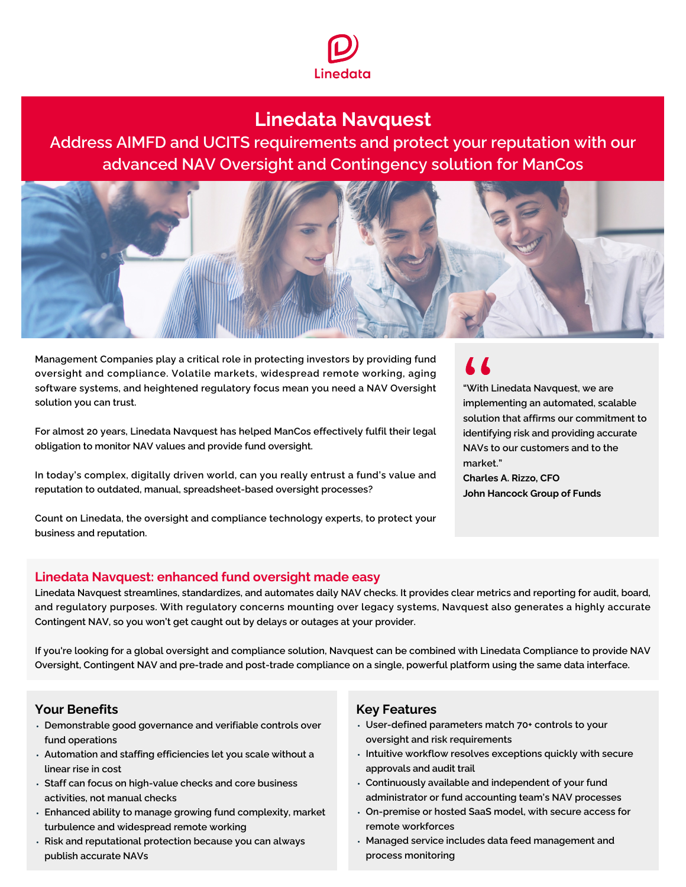

# **Linedata Navquest**

Address AIMFD and UCITS requirements and protect your reputation with our advanced NAV Oversight and Contingency solution for ManCos



Management Companies play a critical role in protecting investors by providing fund oversight and compliance. Volatile markets, widespread remote working, aging software systems, and heightened regulatory focus mean you need a NAV Oversight solution you can trust.

For almost 20 years, Linedata Navquest has helped ManCos effectively fulfil their legal obligation to monitor NAV values and provide fund oversight.

In today's complex, digitally driven world, can you really entrust a fund's value and reputation to outdated, manual, spreadsheet-based oversight processes?

Count on Linedata, the oversight and compliance technology experts, to protect your business and reputation.

# $\overline{1}$

"With Linedata Navquest, we are implementing an automated, scalable solution that affirms our commitment to identifying risk and providing accurate NAVs to our customers and to the market."

**Charles A. Rizzo, CFO John Hancock Group of Funds**

## **Linedata Navquest: enhanced fund oversight made easy**

Linedata Navquest streamlines, standardizes, and automates daily NAV checks. It provides clear metrics and reporting for audit, board, and regulatory purposes. With regulatory concerns mounting over legacy systems, Navquest also generates a highly accurate Contingent NAV, so you won't get caught out by delays or outages at your provider.

If you're looking for a global oversight and compliance solution, Navquest can be combined with Linedata Compliance to provide NAV Oversight, Contingent NAV and pre-trade and post-trade compliance on a single, powerful platform using the same data interface.

## **Your Benefits**

- Demonstrable good governance and verifiable controls over fund operations
- Automation and staffing efficiencies let you scale without a linear rise in cost
- Staff can focus on high-value checks and core business activities, not manual checks
- Enhanced ability to manage growing fund complexity, market turbulence and widespread remote working
- Risk and reputational protection because you can always publish accurate NAVs

## **Key Features**

- User-defined parameters match 70+ controls to your oversight and risk requirements
- Intuitive workflow resolves exceptions quickly with secure approvals and audit trail
- Continuously available and independent of your fund administrator or fund accounting team's NAV processes
- On-premise or hosted SaaS model, with secure access for remote workforces
- Managed service includes data feed management and process monitoring